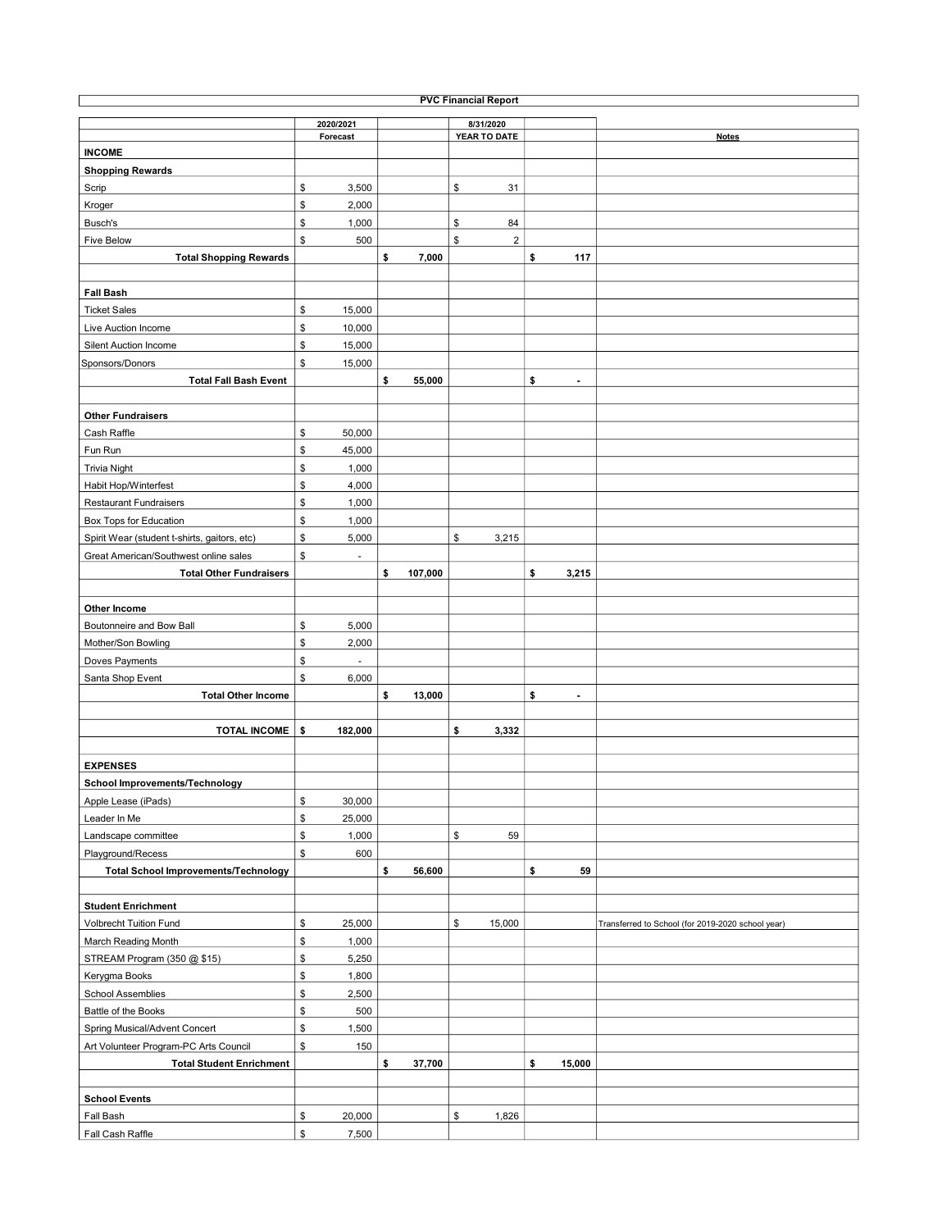| <b>PVC Financial Report</b>                  |                                |    |         |                                  |    |                          |                                                   |  |  |  |  |  |
|----------------------------------------------|--------------------------------|----|---------|----------------------------------|----|--------------------------|---------------------------------------------------|--|--|--|--|--|
|                                              | 2020/2021                      |    |         | 8/31/2020                        |    |                          |                                                   |  |  |  |  |  |
|                                              | Forecast                       |    |         | YEAR TO DATE                     |    |                          | <b>Notes</b>                                      |  |  |  |  |  |
| <b>INCOME</b>                                |                                |    |         |                                  |    |                          |                                                   |  |  |  |  |  |
| <b>Shopping Rewards</b>                      |                                |    |         |                                  |    |                          |                                                   |  |  |  |  |  |
| Scrip                                        | \$<br>3,500                    |    |         | \$<br>31                         |    |                          |                                                   |  |  |  |  |  |
| Kroger                                       | \$<br>2,000                    |    |         |                                  |    |                          |                                                   |  |  |  |  |  |
| Busch's                                      | \$<br>1,000                    |    |         | \$<br>84                         |    |                          |                                                   |  |  |  |  |  |
| Five Below                                   | \$<br>500                      |    |         | $$\mathbb{S}$$<br>$\overline{2}$ |    |                          |                                                   |  |  |  |  |  |
| <b>Total Shopping Rewards</b>                |                                | \$ | 7,000   |                                  | \$ | 117                      |                                                   |  |  |  |  |  |
|                                              |                                |    |         |                                  |    |                          |                                                   |  |  |  |  |  |
| <b>Fall Bash</b>                             |                                |    |         |                                  |    |                          |                                                   |  |  |  |  |  |
| <b>Ticket Sales</b>                          | \$<br>15,000                   |    |         |                                  |    |                          |                                                   |  |  |  |  |  |
| Live Auction Income                          | \$<br>10,000                   |    |         |                                  |    |                          |                                                   |  |  |  |  |  |
| Silent Auction Income                        | \$<br>15,000                   |    |         |                                  |    |                          |                                                   |  |  |  |  |  |
|                                              | \$                             |    |         |                                  |    |                          |                                                   |  |  |  |  |  |
| Sponsors/Donors                              | 15,000                         |    |         |                                  |    |                          |                                                   |  |  |  |  |  |
| <b>Total Fall Bash Event</b>                 |                                | \$ | 55,000  |                                  | \$ | $\overline{\phantom{a}}$ |                                                   |  |  |  |  |  |
|                                              |                                |    |         |                                  |    |                          |                                                   |  |  |  |  |  |
| <b>Other Fundraisers</b>                     |                                |    |         |                                  |    |                          |                                                   |  |  |  |  |  |
| Cash Raffle                                  | \$<br>50,000                   |    |         |                                  |    |                          |                                                   |  |  |  |  |  |
| Fun Run                                      | \$<br>45,000                   |    |         |                                  |    |                          |                                                   |  |  |  |  |  |
| <b>Trivia Night</b>                          | \$<br>1,000                    |    |         |                                  |    |                          |                                                   |  |  |  |  |  |
| Habit Hop/Winterfest                         | \$<br>4,000                    |    |         |                                  |    |                          |                                                   |  |  |  |  |  |
| <b>Restaurant Fundraisers</b>                | \$<br>1,000                    |    |         |                                  |    |                          |                                                   |  |  |  |  |  |
| Box Tops for Education                       | \$<br>1,000                    |    |         |                                  |    |                          |                                                   |  |  |  |  |  |
| Spirit Wear (student t-shirts, gaitors, etc) | \$<br>5,000                    |    |         | \$<br>3,215                      |    |                          |                                                   |  |  |  |  |  |
| Great American/Southwest online sales        | \$<br>$\overline{\phantom{a}}$ |    |         |                                  |    |                          |                                                   |  |  |  |  |  |
| <b>Total Other Fundraisers</b>               |                                | \$ | 107,000 |                                  | \$ | 3,215                    |                                                   |  |  |  |  |  |
|                                              |                                |    |         |                                  |    |                          |                                                   |  |  |  |  |  |
| Other Income                                 |                                |    |         |                                  |    |                          |                                                   |  |  |  |  |  |
| Boutonneire and Bow Ball                     | \$<br>5,000                    |    |         |                                  |    |                          |                                                   |  |  |  |  |  |
| Mother/Son Bowling                           | \$<br>2,000                    |    |         |                                  |    |                          |                                                   |  |  |  |  |  |
| Doves Payments                               | \$<br>ä,                       |    |         |                                  |    |                          |                                                   |  |  |  |  |  |
| Santa Shop Event                             | \$<br>6,000                    |    |         |                                  |    |                          |                                                   |  |  |  |  |  |
| <b>Total Other Income</b>                    |                                | \$ | 13,000  |                                  | \$ | $\overline{\phantom{a}}$ |                                                   |  |  |  |  |  |
|                                              |                                |    |         |                                  |    |                          |                                                   |  |  |  |  |  |
| <b>TOTAL INCOME</b>                          | \$<br>182,000                  |    |         | \$<br>3,332                      |    |                          |                                                   |  |  |  |  |  |
|                                              |                                |    |         |                                  |    |                          |                                                   |  |  |  |  |  |
| <b>EXPENSES</b>                              |                                |    |         |                                  |    |                          |                                                   |  |  |  |  |  |
| <b>School Improvements/Technology</b>        |                                |    |         |                                  |    |                          |                                                   |  |  |  |  |  |
| Apple Lease (iPads)                          | \$<br>30,000                   |    |         |                                  |    |                          |                                                   |  |  |  |  |  |
|                                              |                                |    |         |                                  |    |                          |                                                   |  |  |  |  |  |
| Leader In Me                                 | \$<br>25,000                   |    |         |                                  |    |                          |                                                   |  |  |  |  |  |
| Landscape committee                          | \$<br>1,000                    |    |         | \$<br>59                         |    |                          |                                                   |  |  |  |  |  |
| Playground/Recess                            | \$<br>600                      |    |         |                                  |    |                          |                                                   |  |  |  |  |  |
| <b>Total School Improvements/Technology</b>  |                                | \$ | 56,600  |                                  | \$ | 59                       |                                                   |  |  |  |  |  |
|                                              |                                |    |         |                                  |    |                          |                                                   |  |  |  |  |  |
| <b>Student Enrichment</b>                    |                                |    |         |                                  |    |                          |                                                   |  |  |  |  |  |
| Volbrecht Tuition Fund                       | \$<br>25,000                   |    |         | \$<br>15,000                     |    |                          | Transferred to School (for 2019-2020 school year) |  |  |  |  |  |
| March Reading Month                          | \$<br>1,000                    |    |         |                                  |    |                          |                                                   |  |  |  |  |  |
| STREAM Program (350 @ \$15)                  | \$<br>5,250                    |    |         |                                  |    |                          |                                                   |  |  |  |  |  |
| Kerygma Books                                | \$<br>1,800                    |    |         |                                  |    |                          |                                                   |  |  |  |  |  |
| School Assemblies                            | \$<br>2,500                    |    |         |                                  |    |                          |                                                   |  |  |  |  |  |
| Battle of the Books                          | \$<br>500                      |    |         |                                  |    |                          |                                                   |  |  |  |  |  |
| Spring Musical/Advent Concert                | \$<br>1,500                    |    |         |                                  |    |                          |                                                   |  |  |  |  |  |
| Art Volunteer Program-PC Arts Council        | \$<br>150                      |    |         |                                  |    |                          |                                                   |  |  |  |  |  |
| <b>Total Student Enrichment</b>              |                                | \$ | 37,700  |                                  | \$ | 15,000                   |                                                   |  |  |  |  |  |
|                                              |                                |    |         |                                  |    |                          |                                                   |  |  |  |  |  |
| <b>School Events</b>                         |                                |    |         |                                  |    |                          |                                                   |  |  |  |  |  |
| Fall Bash                                    | \$<br>20,000                   |    |         | \$<br>1,826                      |    |                          |                                                   |  |  |  |  |  |
| Fall Cash Raffle                             | \$<br>7,500                    |    |         |                                  |    |                          |                                                   |  |  |  |  |  |